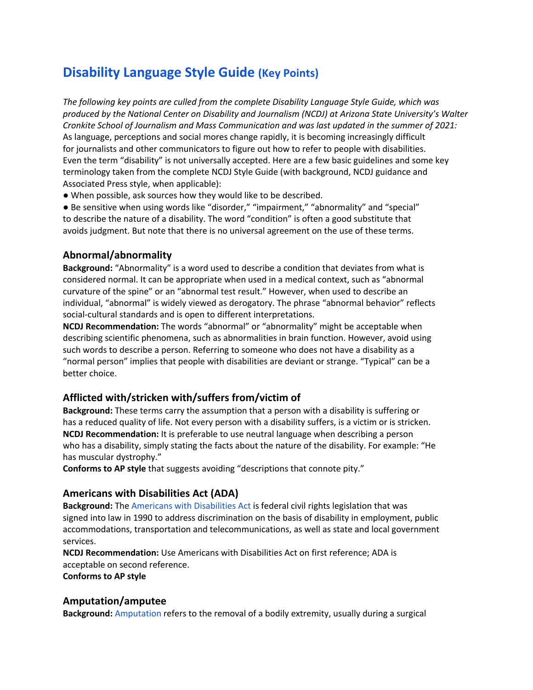# **Disability Language Style Guide (Key Points)**

*The following key points are culled from the complete Disability Language Style Guide, which was produced by the National Center on Disability and Journalism (NCDJ) at Arizona State University's Walter Cronkite School of Journalism and Mass Communication and was last updated in the summer of 2021:* As language, perceptions and social mores change rapidly, it is becoming increasingly difficult for journalists and other communicators to figure out how to refer to people with disabilities. Even the term "disability" is not universally accepted. Here are a few basic guidelines and some key terminology taken from the complete NCDJ Style Guide (with background, NCDJ guidance and Associated Press style, when applicable):

● When possible, ask sources how they would like to be described.

● Be sensitive when using words like "disorder," "impairment," "abnormality" and "special" to describe the nature of a disability. The word "condition" is often a good substitute that avoids judgment. But note that there is no universal agreement on the use of these terms.

#### **Abnormal/abnormality**

**Background:** "Abnormality" is a word used to describe a condition that deviates from what is considered normal. It can be appropriate when used in a medical context, such as "abnormal curvature of the spine" or an "abnormal test result." However, when used to describe an individual, "abnormal" is widely viewed as derogatory. The phrase "abnormal behavior" reflects social-cultural standards and is open to different interpretations.

**NCDJ Recommendation:** The words "abnormal" or "abnormality" might be acceptable when describing scientific phenomena, such as abnormalities in brain function. However, avoid using such words to describe a person. Referring to someone who does not have a disability as a "normal person" implies that people with disabilities are deviant or strange. "Typical" can be a better choice.

#### **Afflicted with/stricken with/suffers from/victim of**

**Background:** These terms carry the assumption that a person with a disability is suffering or has a reduced quality of life. Not every person with a disability suffers, is a victim or is stricken. **NCDJ Recommendation:** It is preferable to use neutral language when describing a person who has a disability, simply stating the facts about the nature of the disability. For example: "He has muscular dystrophy."

**Conforms to AP style** that suggests avoiding "descriptions that connote pity."

#### **Americans with Disabilities Act (ADA)**

**Background:** The Americans with Disabilities Act is federal civil rights legislation that was signed into law in 1990 to address discrimination on the basis of disability in employment, public accommodations, transportation and telecommunications, as well as state and local government services.

**NCDJ Recommendation:** Use Americans with Disabilities Act on first reference; ADA is acceptable on second reference.

**Conforms to AP style**

#### **Amputation/amputee**

**Background:** Amputation refers to the removal of a bodily extremity, usually during a surgical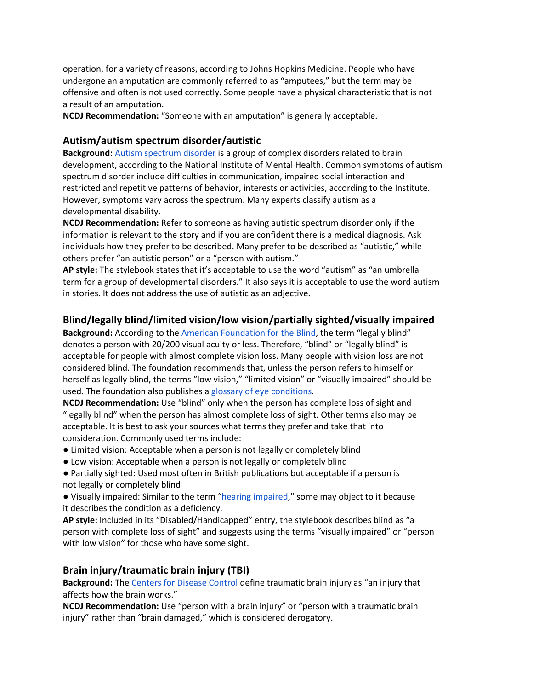operation, for a variety of reasons, according to Johns Hopkins Medicine. People who have undergone an amputation are commonly referred to as "amputees," but the term may be offensive and often is not used correctly. Some people have a physical characteristic that is not a result of an amputation.

**NCDJ Recommendation:** "Someone with an amputation" is generally acceptable.

## **Autism/autism spectrum disorder/autistic**

**Background:** Autism spectrum disorder is a group of complex disorders related to brain development, according to the National Institute of Mental Health. Common symptoms of autism spectrum disorder include difficulties in communication, impaired social interaction and restricted and repetitive patterns of behavior, interests or activities, according to the Institute. However, symptoms vary across the spectrum. Many experts classify autism as a developmental disability.

**NCDJ Recommendation:** Refer to someone as having autistic spectrum disorder only if the information is relevant to the story and if you are confident there is a medical diagnosis. Ask individuals how they prefer to be described. Many prefer to be described as "autistic," while others prefer "an autistic person" or a "person with autism."

**AP style:** The stylebook states that it's acceptable to use the word "autism" as "an umbrella term for a group of developmental disorders." It also says it is acceptable to use the word autism in stories. It does not address the use of autistic as an adjective.

## **Blind/legally blind/limited vision/low vision/partially sighted/visually impaired**

**Background:** According to the American Foundation for the Blind, the term "legally blind" denotes a person with 20/200 visual acuity or less. Therefore, "blind" or "legally blind" is acceptable for people with almost complete vision loss. Many people with vision loss are not considered blind. The foundation recommends that, unless the person refers to himself or herself as legally blind, the terms "low vision," "limited vision" or "visually impaired" should be used. The foundation also publishes a glossary of eye conditions.

**NCDJ Recommendation:** Use "blind" only when the person has complete loss of sight and "legally blind" when the person has almost complete loss of sight. Other terms also may be acceptable. It is best to ask your sources what terms they prefer and take that into consideration. Commonly used terms include:

- Limited vision: Acceptable when a person is not legally or completely blind
- Low vision: Acceptable when a person is not legally or completely blind
- Partially sighted: Used most often in British publications but acceptable if a person is not legally or completely blind

● Visually impaired: Similar to the term "hearing impaired," some may object to it because it describes the condition as a deficiency.

**AP style:** Included in its "Disabled/Handicapped" entry, the stylebook describes blind as "a person with complete loss of sight" and suggests using the terms "visually impaired" or "person with low vision" for those who have some sight.

# **Brain injury/traumatic brain injury (TBI)**

**Background:** The Centers for Disease Control define traumatic brain injury as "an injury that affects how the brain works."

**NCDJ Recommendation:** Use "person with a brain injury" or "person with a traumatic brain injury" rather than "brain damaged," which is considered derogatory.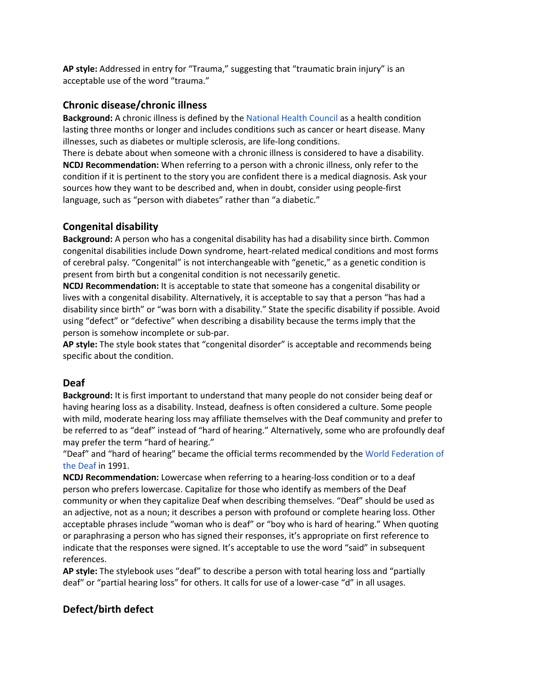**AP style:** Addressed in entry for "Trauma," suggesting that "traumatic brain injury" is an acceptable use of the word "trauma."

## **Chronic disease/chronic illness**

**Background:** A chronic illness is defined by the National Health Council as a health condition lasting three months or longer and includes conditions such as cancer or heart disease. Many illnesses, such as diabetes or multiple sclerosis, are life-long conditions.

There is debate about when someone with a chronic illness is considered to have a disability. **NCDJ Recommendation:** When referring to a person with a chronic illness, only refer to the condition if it is pertinent to the story you are confident there is a medical diagnosis. Ask your sources how they want to be described and, when in doubt, consider using people-first language, such as "person with diabetes" rather than "a diabetic."

## **Congenital disability**

**Background:** A person who has a congenital disability has had a disability since birth. Common congenital disabilities include Down syndrome, heart-related medical conditions and most forms of cerebral palsy. "Congenital" is not interchangeable with "genetic," as a genetic condition is present from birth but a congenital condition is not necessarily genetic.

**NCDJ Recommendation:** It is acceptable to state that someone has a congenital disability or lives with a congenital disability. Alternatively, it is acceptable to say that a person "has had a disability since birth" or "was born with a disability." State the specific disability if possible. Avoid using "defect" or "defective" when describing a disability because the terms imply that the person is somehow incomplete or sub-par.

**AP style:** The style book states that "congenital disorder" is acceptable and recommends being specific about the condition.

## **Deaf**

**Background:** It is first important to understand that many people do not consider being deaf or having hearing loss as a disability. Instead, deafness is often considered a culture. Some people with mild, moderate hearing loss may affiliate themselves with the Deaf community and prefer to be referred to as "deaf" instead of "hard of hearing." Alternatively, some who are profoundly deaf may prefer the term "hard of hearing."

"Deaf" and "hard of hearing" became the official terms recommended by the World Federation of the Deaf in 1991.

**NCDJ Recommendation:** Lowercase when referring to a hearing-loss condition or to a deaf person who prefers lowercase. Capitalize for those who identify as members of the Deaf community or when they capitalize Deaf when describing themselves. "Deaf" should be used as an adjective, not as a noun; it describes a person with profound or complete hearing loss. Other acceptable phrases include "woman who is deaf" or "boy who is hard of hearing." When quoting or paraphrasing a person who has signed their responses, it's appropriate on first reference to indicate that the responses were signed. It's acceptable to use the word "said" in subsequent references.

**AP style:** The stylebook uses "deaf" to describe a person with total hearing loss and "partially deaf" or "partial hearing loss" for others. It calls for use of a lower-case "d" in all usages.

## **Defect/birth defect**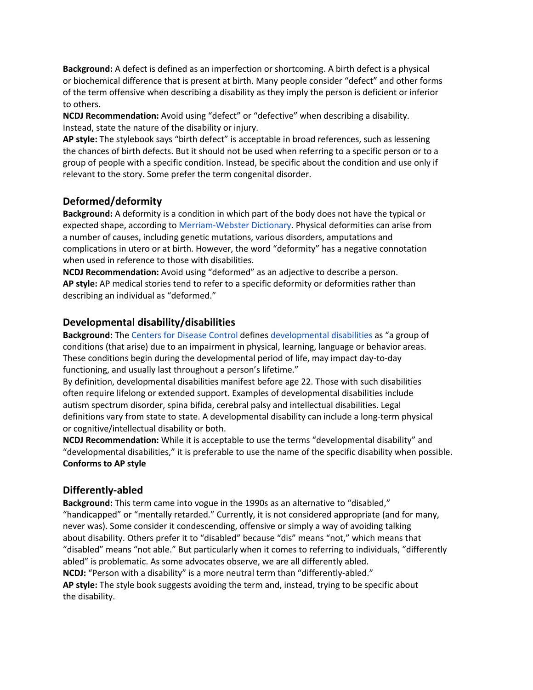**Background:** A defect is defined as an imperfection or shortcoming. A birth defect is a physical or biochemical difference that is present at birth. Many people consider "defect" and other forms of the term offensive when describing a disability as they imply the person is deficient or inferior to others.

**NCDJ Recommendation:** Avoid using "defect" or "defective" when describing a disability. Instead, state the nature of the disability or injury.

**AP style:** The stylebook says "birth defect" is acceptable in broad references, such as lessening the chances of birth defects. But it should not be used when referring to a specific person or to a group of people with a specific condition. Instead, be specific about the condition and use only if relevant to the story. Some prefer the term congenital disorder.

## **Deformed/deformity**

**Background:** A deformity is a condition in which part of the body does not have the typical or expected shape, according to Merriam-Webster Dictionary. Physical deformities can arise from a number of causes, including genetic mutations, various disorders, amputations and complications in utero or at birth. However, the word "deformity" has a negative connotation when used in reference to those with disabilities.

**NCDJ Recommendation:** Avoid using "deformed" as an adjective to describe a person. **AP style:** AP medical stories tend to refer to a specific deformity or deformities rather than describing an individual as "deformed."

## **Developmental disability/disabilities**

**Background:** The Centers for Disease Control defines developmental disabilities as "a group of conditions (that arise) due to an impairment in physical, learning, language or behavior areas. These conditions begin during the developmental period of life, may impact day-to-day functioning, and usually last throughout a person's lifetime."

By definition, developmental disabilities manifest before age 22. Those with such disabilities often require lifelong or extended support. Examples of developmental disabilities include autism spectrum disorder, spina bifida, cerebral palsy and intellectual disabilities. Legal definitions vary from state to state. A developmental disability can include a long-term physical or cognitive/intellectual disability or both.

**NCDJ Recommendation:** While it is acceptable to use the terms "developmental disability" and "developmental disabilities," it is preferable to use the name of the specific disability when possible. **Conforms to AP style**

## **Differently-abled**

**Background:** This term came into vogue in the 1990s as an alternative to "disabled," "handicapped" or "mentally retarded." Currently, it is not considered appropriate (and for many, never was). Some consider it condescending, offensive or simply a way of avoiding talking about disability. Others prefer it to "disabled" because "dis" means "not," which means that "disabled" means "not able." But particularly when it comes to referring to individuals, "differently abled" is problematic. As some advocates observe, we are all differently abled. **NCDJ:** "Person with a disability" is a more neutral term than "differently-abled." **AP style:** The style book suggests avoiding the term and, instead, trying to be specific about the disability.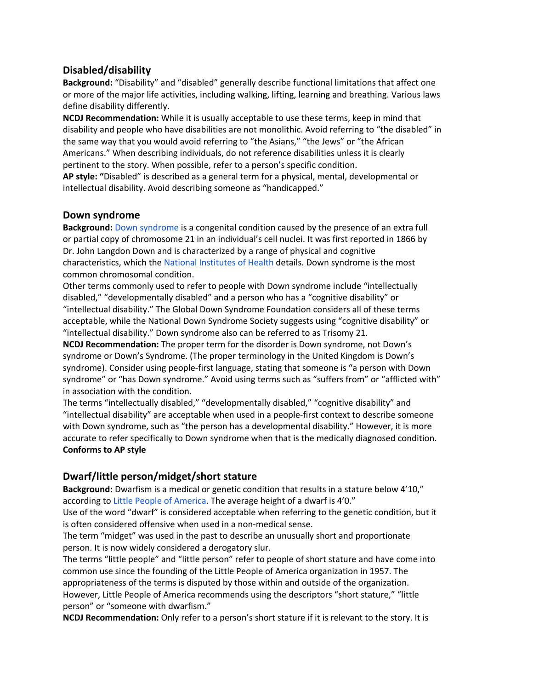## **Disabled/disability**

**Background:** "Disability" and "disabled" generally describe functional limitations that affect one or more of the major life activities, including walking, lifting, learning and breathing. Various laws define disability differently.

**NCDJ Recommendation:** While it is usually acceptable to use these terms, keep in mind that disability and people who have disabilities are not monolithic. Avoid referring to "the disabled" in the same way that you would avoid referring to "the Asians," "the Jews" or "the African Americans." When describing individuals, do not reference disabilities unless it is clearly pertinent to the story. When possible, refer to a person's specific condition.

**AP style: "**Disabled" is described as a general term for a physical, mental, developmental or intellectual disability. Avoid describing someone as "handicapped."

#### **Down syndrome**

**Background:** Down syndrome is a congenital condition caused by the presence of an extra full or partial copy of chromosome 21 in an individual's cell nuclei. It was first reported in 1866 by Dr. John Langdon Down and is characterized by a range of physical and cognitive characteristics, which the National Institutes of Health details. Down syndrome is the most common chromosomal condition.

Other terms commonly used to refer to people with Down syndrome include "intellectually disabled," "developmentally disabled" and a person who has a "cognitive disability" or "intellectual disability." The Global Down Syndrome Foundation considers all of these terms acceptable, while the National Down Syndrome Society suggests using "cognitive disability" or "intellectual disability." Down syndrome also can be referred to as Trisomy 21.

**NCDJ Recommendation:** The proper term for the disorder is Down syndrome, not Down's syndrome or Down's Syndrome. (The proper terminology in the United Kingdom is Down's syndrome). Consider using people-first language, stating that someone is "a person with Down syndrome" or "has Down syndrome." Avoid using terms such as "suffers from" or "afflicted with" in association with the condition.

The terms "intellectually disabled," "developmentally disabled," "cognitive disability" and "intellectual disability" are acceptable when used in a people-first context to describe someone with Down syndrome, such as "the person has a developmental disability." However, it is more accurate to refer specifically to Down syndrome when that is the medically diagnosed condition. **Conforms to AP style**

## **Dwarf/little person/midget/short stature**

**Background:** Dwarfism is a medical or genetic condition that results in a stature below 4'10," according to Little People of America. The average height of a dwarf is 4'0."

Use of the word "dwarf" is considered acceptable when referring to the genetic condition, but it is often considered offensive when used in a non-medical sense.

The term "midget" was used in the past to describe an unusually short and proportionate person. It is now widely considered a derogatory slur.

The terms "little people" and "little person" refer to people of short stature and have come into common use since the founding of the Little People of America organization in 1957. The appropriateness of the terms is disputed by those within and outside of the organization. However, Little People of America recommends using the descriptors "short stature," "little person" or "someone with dwarfism."

**NCDJ Recommendation:** Only refer to a person's short stature if it is relevant to the story. It is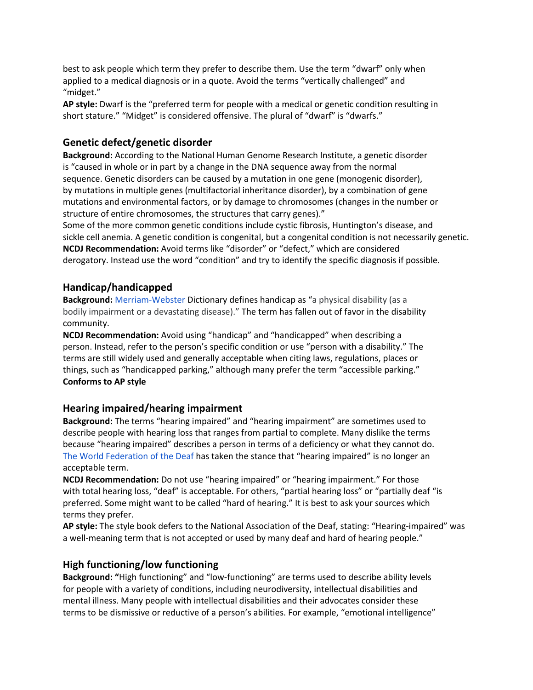best to ask people which term they prefer to describe them. Use the term "dwarf" only when applied to a medical diagnosis or in a quote. Avoid the terms "vertically challenged" and "midget."

**AP style:** Dwarf is the "preferred term for people with a medical or genetic condition resulting in short stature." "Midget" is considered offensive. The plural of "dwarf" is "dwarfs."

## **Genetic defect/genetic disorder**

**Background:** According to the National Human Genome Research Institute, a genetic disorder is "caused in whole or in part by a change in the DNA sequence away from the normal sequence. Genetic disorders can be caused by a mutation in one gene (monogenic disorder), by mutations in multiple genes (multifactorial inheritance disorder), by a combination of gene mutations and environmental factors, or by damage to chromosomes (changes in the number or structure of entire chromosomes, the structures that carry genes)."

Some of the more common genetic conditions include cystic fibrosis, Huntington's disease, and sickle cell anemia. A genetic condition is congenital, but a congenital condition is not necessarily genetic. **NCDJ Recommendation:** Avoid terms like "disorder" or "defect," which are considered derogatory. Instead use the word "condition" and try to identify the specific diagnosis if possible.

## **Handicap/handicapped**

**Background:** Merriam-Webster Dictionary defines handicap as "a physical disability (as a bodily impairment or a devastating disease)." The term has fallen out of favor in the disability community.

**NCDJ Recommendation:** Avoid using "handicap" and "handicapped" when describing a person. Instead, refer to the person's specific condition or use "person with a disability." The terms are still widely used and generally acceptable when citing laws, regulations, places or things, such as "handicapped parking," although many prefer the term "accessible parking." **Conforms to AP style**

## **Hearing impaired/hearing impairment**

**Background:** The terms "hearing impaired" and "hearing impairment" are sometimes used to describe people with hearing loss that ranges from partial to complete. Many dislike the terms because "hearing impaired" describes a person in terms of a deficiency or what they cannot do. The World Federation of the Deaf has taken the stance that "hearing impaired" is no longer an acceptable term.

**NCDJ Recommendation:** Do not use "hearing impaired" or "hearing impairment." For those with total hearing loss, "deaf" is acceptable. For others, "partial hearing loss" or "partially deaf "is preferred. Some might want to be called "hard of hearing." It is best to ask your sources which terms they prefer.

**AP style:** The style book defers to the National Association of the Deaf, stating: "Hearing-impaired" was a well-meaning term that is not accepted or used by many deaf and hard of hearing people."

#### **High functioning/low functioning**

**Background: "**High functioning" and "low-functioning" are terms used to describe ability levels for people with a variety of conditions, including neurodiversity, intellectual disabilities and mental illness. Many people with intellectual disabilities and their advocates consider these terms to be dismissive or reductive of a person's abilities. For example, "emotional intelligence"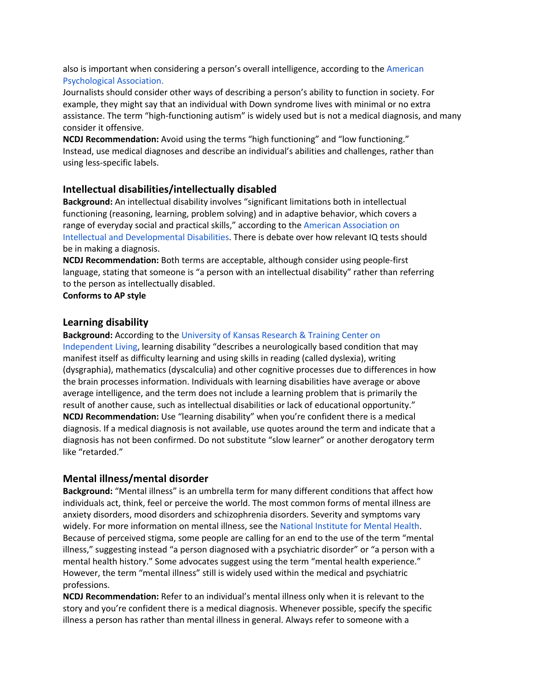also is important when considering a person's overall intelligence, according to the American Psychological Association.

Journalists should consider other ways of describing a person's ability to function in society. For example, they might say that an individual with Down syndrome lives with minimal or no extra assistance. The term "high-functioning autism" is widely used but is not a medical diagnosis, and many consider it offensive.

**NCDJ Recommendation:** Avoid using the terms "high functioning" and "low functioning." Instead, use medical diagnoses and describe an individual's abilities and challenges, rather than using less-specific labels.

## **Intellectual disabilities/intellectually disabled**

**Background:** An intellectual disability involves "significant limitations both in intellectual functioning (reasoning, learning, problem solving) and in adaptive behavior, which covers a range of everyday social and practical skills," according to the American Association on Intellectual and Developmental Disabilities. There is debate over how relevant IQ tests should be in making a diagnosis.

**NCDJ Recommendation:** Both terms are acceptable, although consider using people-first language, stating that someone is "a person with an intellectual disability" rather than referring to the person as intellectually disabled.

**Conforms to AP style**

#### **Learning disability**

#### **Background:** According to the University of Kansas Research & Training Center on

Independent Living, learning disability "describes a neurologically based condition that may manifest itself as difficulty learning and using skills in reading (called dyslexia), writing (dysgraphia), mathematics (dyscalculia) and other cognitive processes due to differences in how the brain processes information. Individuals with learning disabilities have average or above average intelligence, and the term does not include a learning problem that is primarily the result of another cause, such as intellectual disabilities or lack of educational opportunity." **NCDJ Recommendation:** Use "learning disability" when you're confident there is a medical diagnosis. If a medical diagnosis is not available, use quotes around the term and indicate that a diagnosis has not been confirmed. Do not substitute "slow learner" or another derogatory term like "retarded."

#### **Mental illness/mental disorder**

**Background:** "Mental illness" is an umbrella term for many different conditions that affect how individuals act, think, feel or perceive the world. The most common forms of mental illness are anxiety disorders, mood disorders and schizophrenia disorders. Severity and symptoms vary widely. For more information on mental illness, see the National Institute for Mental Health. Because of perceived stigma, some people are calling for an end to the use of the term "mental illness," suggesting instead "a person diagnosed with a psychiatric disorder" or "a person with a mental health history." Some advocates suggest using the term "mental health experience." However, the term "mental illness" still is widely used within the medical and psychiatric professions.

**NCDJ Recommendation:** Refer to an individual's mental illness only when it is relevant to the story and you're confident there is a medical diagnosis. Whenever possible, specify the specific illness a person has rather than mental illness in general. Always refer to someone with a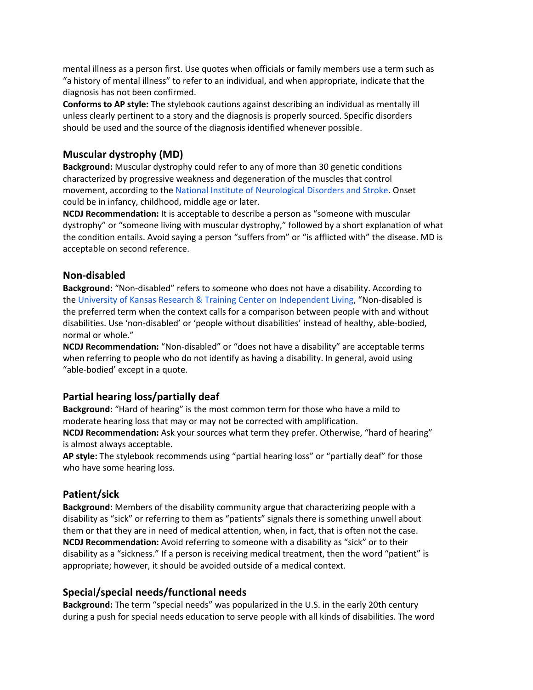mental illness as a person first. Use quotes when officials or family members use a term such as "a history of mental illness" to refer to an individual, and when appropriate, indicate that the diagnosis has not been confirmed.

**Conforms to AP style:** The stylebook cautions against describing an individual as mentally ill unless clearly pertinent to a story and the diagnosis is properly sourced. Specific disorders should be used and the source of the diagnosis identified whenever possible.

## **Muscular dystrophy (MD)**

**Background:** Muscular dystrophy could refer to any of more than 30 genetic conditions characterized by progressive weakness and degeneration of the muscles that control movement, according to the National Institute of Neurological Disorders and Stroke. Onset could be in infancy, childhood, middle age or later.

**NCDJ Recommendation:** It is acceptable to describe a person as "someone with muscular dystrophy" or "someone living with muscular dystrophy," followed by a short explanation of what the condition entails. Avoid saying a person "suffers from" or "is afflicted with" the disease. MD is acceptable on second reference.

#### **Non-disabled**

**Background:** "Non-disabled" refers to someone who does not have a disability. According to the University of Kansas Research & Training Center on Independent Living, "Non-disabled is the preferred term when the context calls for a comparison between people with and without disabilities. Use 'non-disabled' or 'people without disabilities' instead of healthy, able-bodied, normal or whole."

**NCDJ Recommendation:** "Non-disabled" or "does not have a disability" are acceptable terms when referring to people who do not identify as having a disability. In general, avoid using "able-bodied' except in a quote.

## **Partial hearing loss/partially deaf**

**Background:** "Hard of hearing" is the most common term for those who have a mild to moderate hearing loss that may or may not be corrected with amplification.

**NCDJ Recommendation:** Ask your sources what term they prefer. Otherwise, "hard of hearing" is almost always acceptable.

**AP style:** The stylebook recommends using "partial hearing loss" or "partially deaf" for those who have some hearing loss.

#### **Patient/sick**

**Background:** Members of the disability community argue that characterizing people with a disability as "sick" or referring to them as "patients" signals there is something unwell about them or that they are in need of medical attention, when, in fact, that is often not the case. **NCDJ Recommendation:** Avoid referring to someone with a disability as "sick" or to their disability as a "sickness." If a person is receiving medical treatment, then the word "patient" is appropriate; however, it should be avoided outside of a medical context.

#### **Special/special needs/functional needs**

**Background:** The term "special needs" was popularized in the U.S. in the early 20th century during a push for special needs education to serve people with all kinds of disabilities. The word